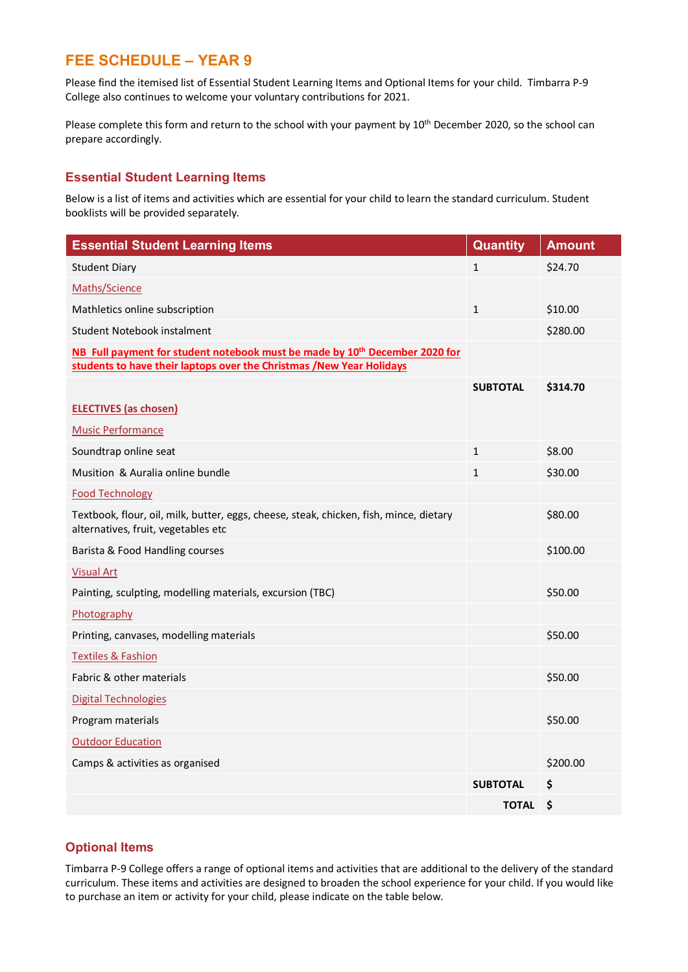# **FEE SCHEDULE – YEAR 9**

Please find the itemised list of Essential Student Learning Items and Optional Items for your child. Timbarra P-9 College also continues to welcome your voluntary contributions for 2021.

Please complete this form and return to the school with your payment by 10<sup>th</sup> December 2020, so the school can prepare accordingly.

#### **Essential Student Learning Items**

Below is a list of items and activities which are essential for your child to learn the standard curriculum. Student booklists will be provided separately.

| <b>Essential Student Learning Items</b>                                                                                                                         | <b>Quantity</b> | <b>Amount</b> |
|-----------------------------------------------------------------------------------------------------------------------------------------------------------------|-----------------|---------------|
| <b>Student Diary</b>                                                                                                                                            | $\mathbf{1}$    | \$24.70       |
| Maths/Science                                                                                                                                                   |                 |               |
| Mathletics online subscription                                                                                                                                  | $\mathbf{1}$    | \$10.00       |
| Student Notebook instalment                                                                                                                                     |                 | \$280.00      |
| NB Full payment for student notebook must be made by 10 <sup>th</sup> December 2020 for<br>students to have their laptops over the Christmas /New Year Holidays |                 |               |
|                                                                                                                                                                 | <b>SUBTOTAL</b> | \$314.70      |
| <b>ELECTIVES</b> (as chosen)                                                                                                                                    |                 |               |
| <b>Music Performance</b>                                                                                                                                        |                 |               |
| Soundtrap online seat                                                                                                                                           | $\mathbf{1}$    | \$8.00        |
| Musition & Auralia online bundle                                                                                                                                | $\mathbf{1}$    | \$30.00       |
| <b>Food Technology</b>                                                                                                                                          |                 |               |
| Textbook, flour, oil, milk, butter, eggs, cheese, steak, chicken, fish, mince, dietary<br>alternatives, fruit, vegetables etc                                   |                 | \$80.00       |
| Barista & Food Handling courses                                                                                                                                 |                 | \$100.00      |
| <b>Visual Art</b>                                                                                                                                               |                 |               |
| Painting, sculpting, modelling materials, excursion (TBC)                                                                                                       |                 | \$50.00       |
| Photography                                                                                                                                                     |                 |               |
| Printing, canvases, modelling materials                                                                                                                         |                 | \$50.00       |
| <b>Textiles &amp; Fashion</b>                                                                                                                                   |                 |               |
| Fabric & other materials                                                                                                                                        |                 | \$50.00       |
| <b>Digital Technologies</b>                                                                                                                                     |                 |               |
| Program materials                                                                                                                                               |                 | \$50.00       |
| <b>Outdoor Education</b>                                                                                                                                        |                 |               |
| Camps & activities as organised                                                                                                                                 |                 | \$200.00      |
|                                                                                                                                                                 | <b>SUBTOTAL</b> | \$            |
|                                                                                                                                                                 | <b>TOTAL</b>    | \$            |

### **Optional Items**

Timbarra P-9 College offers a range of optional items and activities that are additional to the delivery of the standard curriculum. These items and activities are designed to broaden the school experience for your child. If you would like to purchase an item or activity for your child, please indicate on the table below.